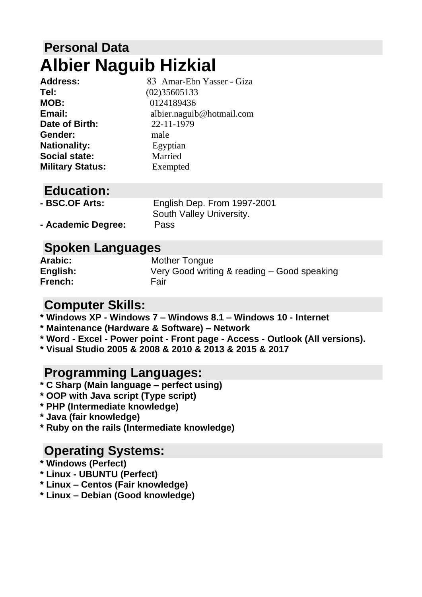# **Personal Data Albier Naguib Hizkial**

| 83 Amar-Ebn Yasser - Giza |
|---------------------------|
| (02)35605133              |
| 0124189436                |
| albier.naguib@hotmail.com |
| 22-11-1979                |
| male                      |
| Egyptian                  |
| Married                   |
| Exempted                  |
|                           |

### **Education:**

| - BSC.OF Arts:     | English Dep. From 1997-2001 |
|--------------------|-----------------------------|
|                    | South Valley University.    |
| - Academic Degree: | Pass                        |

# **Spoken Languages**

| <b>Arabic:</b> | Mother Tongue                               |
|----------------|---------------------------------------------|
| English:       | Very Good writing & reading – Good speaking |
| French:        | Fair                                        |

### **Computer Skills:**

**\* Windows XP - Windows 7 – Windows 8.1 – Windows 10 - Internet**

- **\* Maintenance (Hardware & Software) – Network**
- **\* Word - Excel - Power point - Front page - Access - Outlook (All versions).**
- **\* Visual Studio 2005 & 2008 & 2010 & 2013 & 2015 & 2017**

### **Programming Languages:**

- **\* C Sharp (Main language – perfect using)**
- **\* OOP with Java script (Type script)**
- **\* PHP (Intermediate knowledge)**
- **\* Java (fair knowledge)**
- **\* Ruby on the rails (Intermediate knowledge)**

### **Operating Systems:**

- **\* Windows (Perfect)**
- **\* Linux - UBUNTU (Perfect)**
- **\* Linux – Centos (Fair knowledge)**
- **\* Linux – Debian (Good knowledge)**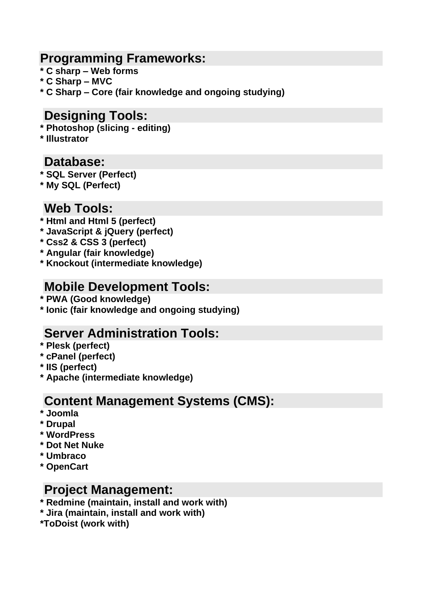### **Programming Frameworks:**

- **\* C sharp – Web forms**
- **\* C Sharp – MVC**
- **\* C Sharp – Core (fair knowledge and ongoing studying)**

### **Designing Tools:**

- **\* Photoshop (slicing - editing)**
- **\* Illustrator**

### **Database:**

- **\* SQL Server (Perfect)**
- **\* My SQL (Perfect)**

# **Web Tools:**

- **\* Html and Html 5 (perfect)**
- **\* JavaScript & jQuery (perfect)**
- **\* Css2 & CSS 3 (perfect)**
- **\* Angular (fair knowledge)**
- **\* Knockout (intermediate knowledge)**

### **Mobile Development Tools:**

- **\* PWA (Good knowledge)**
- **\* Ionic (fair knowledge and ongoing studying)**

### **Server Administration Tools:**

- **\* Plesk (perfect)**
- **\* cPanel (perfect)**
- **\* IIS (perfect)**
- **\* Apache (intermediate knowledge)**

### **Content Management Systems (CMS):**

- **\* Joomla**
- **\* Drupal**
- **\* WordPress**
- **\* Dot Net Nuke**
- **\* Umbraco**
- **\* OpenCart**

### **Project Management:**

- **\* Redmine (maintain, install and work with)**
- **\* Jira (maintain, install and work with)**
- **\*ToDoist (work with)**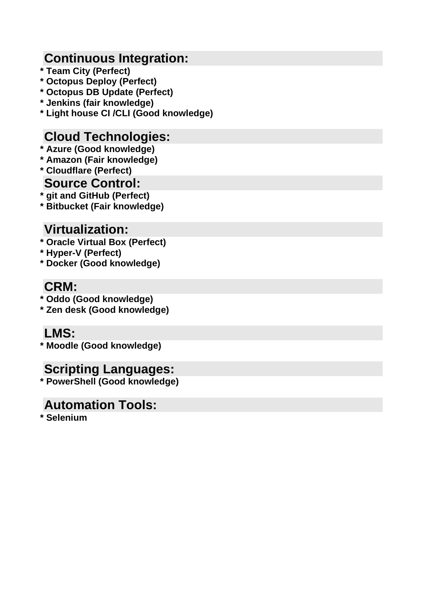# **Continuous Integration:**

- **\* Team City (Perfect)**
- **\* Octopus Deploy (Perfect)**
- **\* Octopus DB Update (Perfect)**
- **\* Jenkins (fair knowledge)**
- **\* Light house CI /CLI (Good knowledge)**

# **Cloud Technologies:**

- **\* Azure (Good knowledge)**
- **\* Amazon (Fair knowledge)**
- **\* Cloudflare (Perfect)**

### **Source Control:**

**\* git and GitHub (Perfect)**

**\* Bitbucket (Fair knowledge)**

# **Virtualization:**

- **\* Oracle Virtual Box (Perfect)**
- **\* Hyper-V (Perfect)**
- **\* Docker (Good knowledge)**

# **CRM:**

- **\* Oddo (Good knowledge)**
- **\* Zen desk (Good knowledge)**

# **LMS:**

**\* Moodle (Good knowledge)**

# **Scripting Languages:**

**\* PowerShell (Good knowledge)**

# **Automation Tools:**

**\* Selenium**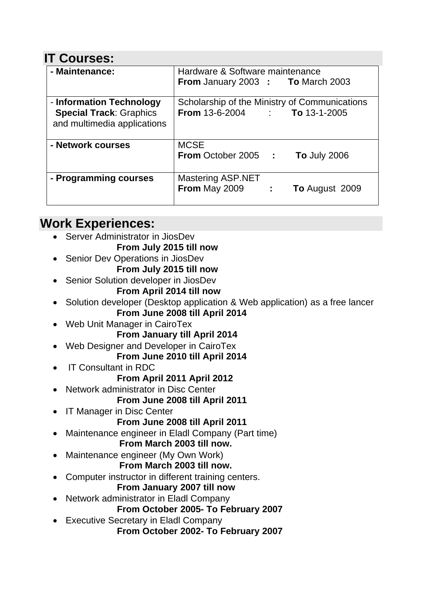# **IT Courses:**

| - Maintenance:                                                                            | Hardware & Software maintenance                                                       |
|-------------------------------------------------------------------------------------------|---------------------------------------------------------------------------------------|
|                                                                                           | From January 2003 : To March 2003                                                     |
| - Information Technology<br><b>Special Track: Graphics</b><br>and multimedia applications | Scholarship of the Ministry of Communications<br><b>From 13-6-2004 : To 13-1-2005</b> |
| - Network courses                                                                         | <b>MCSE</b><br><b>From October 2005 :</b><br><b>To July 2006</b>                      |
| - Programming courses                                                                     | <b>Mastering ASP.NET</b><br><b>From May 2009 : 1988</b><br><b>To August 2009</b>      |

# **Work Experiences:**

- Server Administrator in JiosDev
	- **From July 2015 till now**
- Senior Dev Operations in JiosDev **From July 2015 till now**
- Senior Solution developer in JiosDev
	- **From April 2014 till now**
- Solution developer (Desktop application & Web application) as a free lancer **From June 2008 till April 2014**
- Web Unit Manager in CairoTex

**From January till April 2014**

- Web Designer and Developer in CairoTex
	- **From June 2010 till April 2014**
- IT Consultant in RDC

### **From April 2011 April 2012**

• Network administrator in Disc Center

### **From June 2008 till April 2011**

**IT Manager in Disc Center** 

### **From June 2008 till April 2011**

• Maintenance engineer in Eladl Company (Part time)

#### **From March 2003 till now.**

Maintenance engineer (My Own Work)

### **From March 2003 till now.**

• Computer instructor in different training centers.

### **From January 2007 till now**

• Network administrator in Eladl Company

**From October 2005- To February 2007**

• Executive Secretary in Eladl Company  **From October 2002- To February 2007**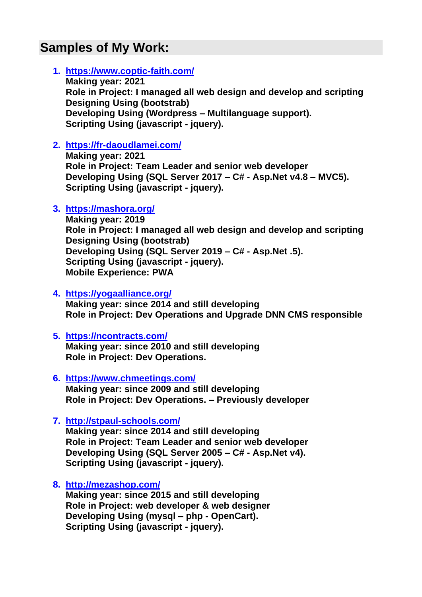# **Samples of My Work:**

#### **1. <https://www.coptic-faith.com/>**

**Making year: 2021 Role in Project: I managed all web design and develop and scripting Designing Using (bootstrab) Developing Using (Wordpress – Multilanguage support). Scripting Using (javascript - jquery).**

#### **2. <https://fr-daoudlamei.com/>**

**Making year: 2021 Role in Project: Team Leader and senior web developer Developing Using (SQL Server 2017 – C# - Asp.Net v4.8 – MVC5). Scripting Using (javascript - jquery).**

#### **3. https://mashora.org/**

**Making year: 2019 Role in Project: I managed all web design and develop and scripting Designing Using (bootstrab) Developing Using (SQL Server 2019 – C# - Asp.Net .5). Scripting Using (javascript - jquery). Mobile Experience: PWA**

#### **4. https://yogaalliance.org/**

**Making year: since 2014 and still developing Role in Project: Dev Operations and Upgrade DNN CMS responsible**

#### **5. <https://ncontracts.com/>**

**Making year: since 2010 and still developing Role in Project: Dev Operations.**

- **6. <https://www.chmeetings.com/> Making year: since 2009 and still developing Role in Project: Dev Operations. – Previously developer**
- **7. http://stpaul-schools.com/**

**Making year: since 2014 and still developing Role in Project: Team Leader and senior web developer Developing Using (SQL Server 2005 – C# - Asp.Net v4). Scripting Using (javascript - jquery).**

**8. http://mezashop.com/**

**Making year: since 2015 and still developing Role in Project: web developer & web designer Developing Using (mysql – php - OpenCart). Scripting Using (javascript - jquery).**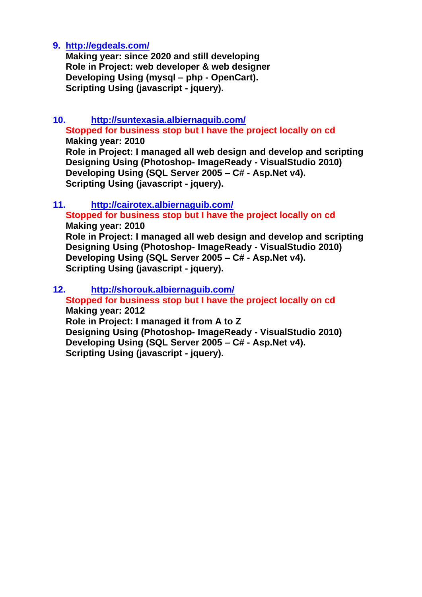#### **9. http://egdeals.com/**

**Making year: since 2020 and still developing Role in Project: web developer & web designer Developing Using (mysql – php - OpenCart). Scripting Using (javascript - jquery).**

#### **10. <http://suntexasia.albiernaguib.com/> Stopped for business stop but I have the project locally on cd**

**Making year: 2010 Role in Project: I managed all web design and develop and scripting Designing Using (Photoshop- ImageReady - VisualStudio 2010) Developing Using (SQL Server 2005 – C# - Asp.Net v4). Scripting Using (javascript - jquery).**

#### **11. <http://cairotex.albiernaguib.com/> Stopped for business stop but I have the project locally on cd Making year: 2010 Role in Project: I managed all web design and develop and scripting Designing Using (Photoshop- ImageReady - VisualStudio 2010) Developing Using (SQL Server 2005 – C# - Asp.Net v4). Scripting Using (javascript - jquery).**

#### **12. http://shorouk.albiernaguib.com/ Stopped for business stop but I have the project locally on cd**

#### **Making year: 2012 Role in Project: I managed it from A to Z Designing Using (Photoshop- ImageReady - VisualStudio 2010)**

**Developing Using (SQL Server 2005 – C# - Asp.Net v4). Scripting Using (javascript - jquery).**